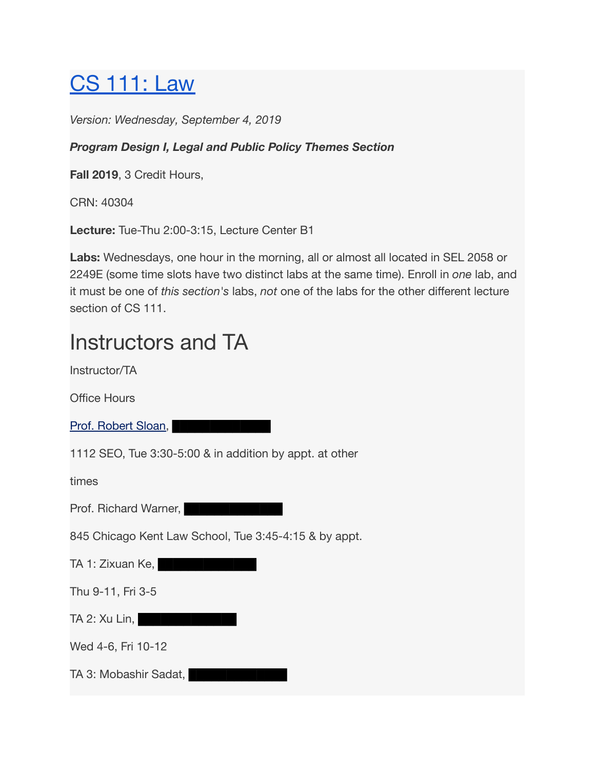## [CS 111: Law](https://cs111law.class.uic.edu/syllabus/)

*Version: Wednesday, September 4, 2019*

#### *Program Design I, Legal and Public Policy Themes Section*

**Fall 2019**, 3 Credit Hours,

CRN: 40304

**Lecture:** Tue-Thu 2:00-3:15, Lecture Center B1

**Labs:** Wednesdays, one hour in the morning, all or almost all located in SEL 2058 or 2249E (some time slots have two distinct labs at the same time). Enroll in *one* lab, and it must be one of *this section's* labs, *not* one of the labs for the other different lecture section of CS 111.

## Instructors and TA

Instructor/TA

Office Hours

[Prof. Robert Sloan,](https://www.cs.uic.edu/Sloan) **Example 19** 

1112 SEO, Tue 3:30-5:00 & in addition by appt. at other

times

Prof. Richard Warner, **Figure 1. Prof.** 

845 Chicago Kent Law School, Tue 3:45-4:15 & by appt.

TA 1: Zixuan Ke, **Ke, Bee Bee Bee** 

Thu 9-11, Fri 3-5

TA 2: Xu Lin, **ENDER ENDERGY** 

Wed 4-6, Fri 10-12

TA 3: Mobashir Sadat,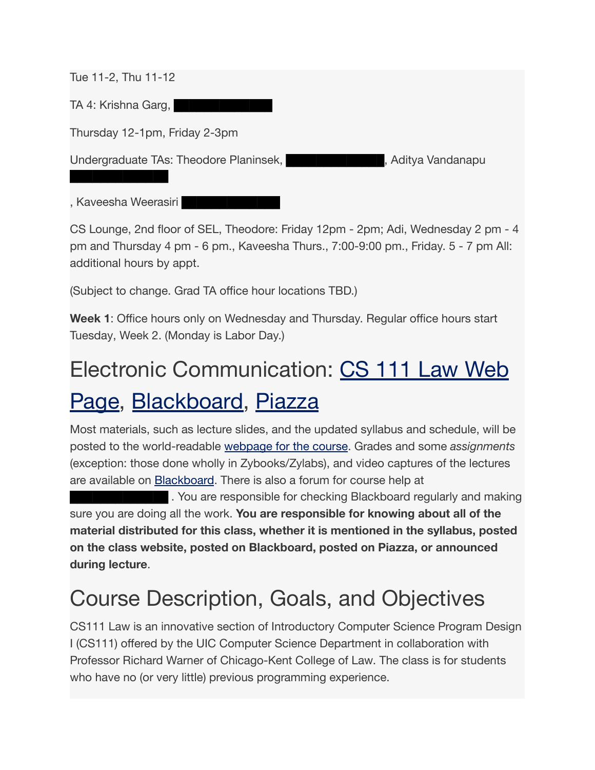Tue 11-2, Thu 11-12

█████████████

TA 4: Krishna Garg,

Thursday 12-1pm, Friday 2-3pm

Undergraduate TAs: Theodore Planinsek, **Karl Bandana**gue , Aditya Vandanapu

, Kaveesha Weerasiri

CS Lounge, 2nd floor of SEL, Theodore: Friday 12pm - 2pm; Adi, Wednesday 2 pm - 4 pm and Thursday 4 pm - 6 pm., Kaveesha Thurs., 7:00-9:00 pm., Friday. 5 - 7 pm All: additional hours by appt.

(Subject to change. Grad TA office hour locations TBD.)

**Week 1**: Office hours only on Wednesday and Thursday. Regular office hours start Tuesday, Week 2. (Monday is Labor Day.)

# Electronic Communication: [CS 111 Law Web](https://cs111law.class.uic.edu/) [Page,](https://cs111law.class.uic.edu/) [Blackboard,](https://uic.blackboard.com/) [Piazza](https://piazza.com/)

Most materials, such as lecture slides, and the updated syllabus and schedule, will be posted to the world-readable [webpage for the course](https://cs111law.class.uic.edu/). Grades and some *assignments* (exception: those done wholly in Zybooks/Zylabs), and video captures of the lectures are available on **[Blackboard](https://uic.blackboard.com/)**. There is also a forum for course help at

**EBB** . You are responsible for checking Blackboard regularly and making sure you are doing all the work. **You are responsible for knowing about all of the material distributed for this class, whether it is mentioned in the syllabus, posted on the class website, posted on Blackboard, posted on Piazza, or announced during lecture**.

## Course Description, Goals, and Objectives

CS111 Law is an innovative section of Introductory Computer Science Program Design I (CS111) offered by the UIC Computer Science Department in collaboration with Professor Richard Warner of Chicago-Kent College of Law. The class is for students who have no (or very little) previous programming experience.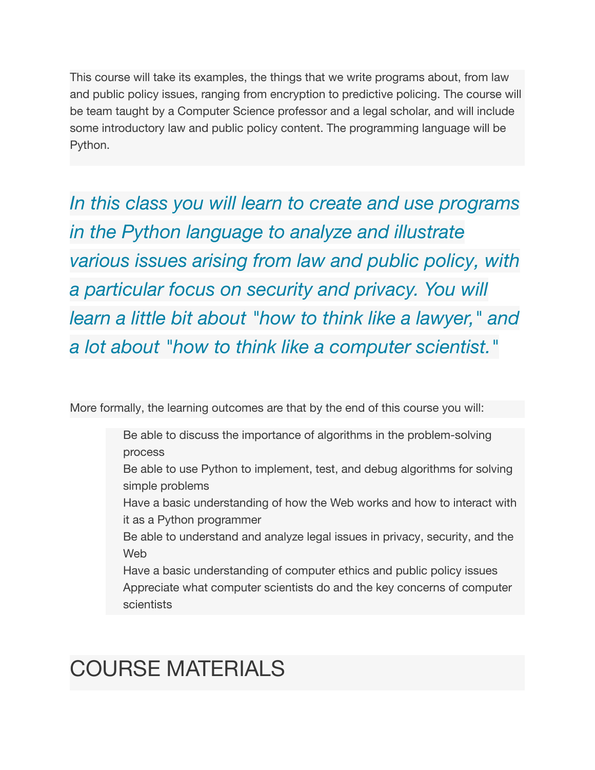This course will take its examples, the things that we write programs about, from law and public policy issues, ranging from encryption to predictive policing. The course will be team taught by a Computer Science professor and a legal scholar, and will include some introductory law and public policy content. The programming language will be Python.

*In this class you will learn to create and use programs in the Python language to analyze and illustrate various issues arising from law and public policy, with a particular focus on security and privacy. You will learn a little bit about "how to think like a lawyer," and a lot about "how to think like a computer scientist."*

More formally, the learning outcomes are that by the end of this course you will:

- Be able to discuss the importance of algorithms in the problem-solving process
- Be able to use Python to implement, test, and debug algorithms for solving simple problems
- Have a basic understanding of how the Web works and how to interact with it as a Python programmer
- Be able to understand and analyze legal issues in privacy, security, and the Web
- Have a basic understanding of computer ethics and public policy issues Appreciate what computer scientists do and the key concerns of computer scientists

# COURSE MATERIALS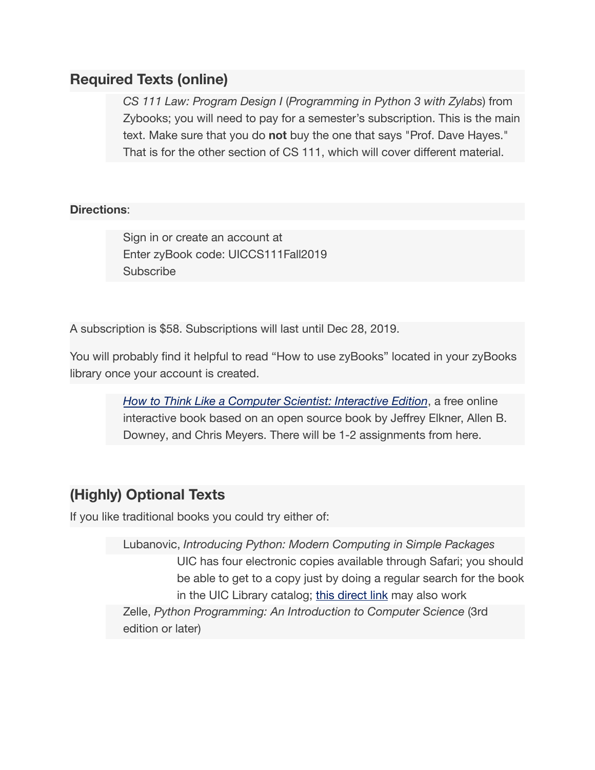#### **Required Texts (online)**

*CS 111 Law: Program Design I* (*Programming in Python 3 with Zylabs*) from Zybooks; you will need to pay for a semester's subscription. This is the main text. Make sure that you do **not** buy the one that says "Prof. Dave Hayes." That is for the other section of CS 111, which will cover different material.

#### **Directions**:

Sign in or create an account at Enter zyBook code: UICCS111Fall2019 **Subscribe** 

A subscription is \$58. Subscriptions will last until Dec 28, 2019.

You will probably find it helpful to read "How to use zyBooks" located in your zyBooks library once your account is created.

> *[How to Think Like a Computer Scientist: Interactive Edition](https://runestone.academy/runestone/books/published/thinkcspy/index.html)*, a free online interactive book based on an open source book by Jeffrey Elkner, Allen B. Downey, and Chris Meyers. There will be 1-2 assignments from here.

#### **(Highly) Optional Texts**

If you like traditional books you could try either of:

Lubanovic, *Introducing Python: Modern Computing in Simple Packages* UIC has four electronic copies available through Safari; you should be able to get to a copy just by doing a regular search for the book in the UIC Library catalog; [this direct link](http://hz9pj6fe4t.search.serialssolutions.com/?ctx_ver=Z39.88-2004&ctx_enc=info:ofi/enc:UTF-8&rfr_id=info:sid/summon.serialssolutions.com&rft_val_fmt=info:ofi/fmt:kev:mtx:book&rft.genre=book&rft.title=Learning%20Python&rft.au=Lutz,%20Mark&rft.date=2013-07-01&rft.pub=O%27Reilly%20Media&rft.isbn=9781449355739&rft.externalDBID=n/a&rft.externalDocID=1224732&paramdict=en-US) may also work Zelle, *Python Programming: An Introduction to Computer Science* (3rd edition or later)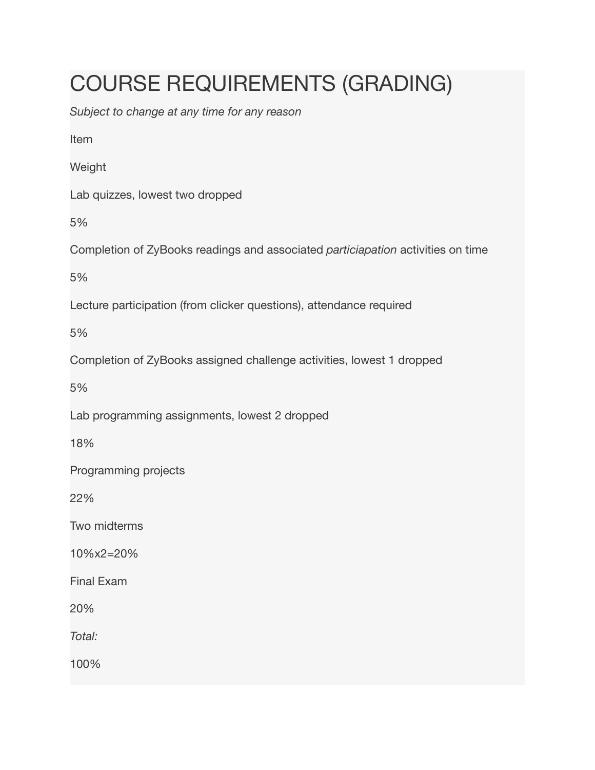# COURSE REQUIREMENTS (GRADING)

*Subject to change at any time for any reason*

Item

Weight

Lab quizzes, lowest two dropped

5%

Completion of ZyBooks readings and associated *particiapation* activities on time

5%

Lecture participation (from clicker questions), attendance required

5%

Completion of ZyBooks assigned challenge activities, lowest 1 dropped

5%

Lab programming assignments, lowest 2 dropped

18%

Programming projects

22%

Two midterms

10%x2=20%

Final Exam

20%

*Total:*

100%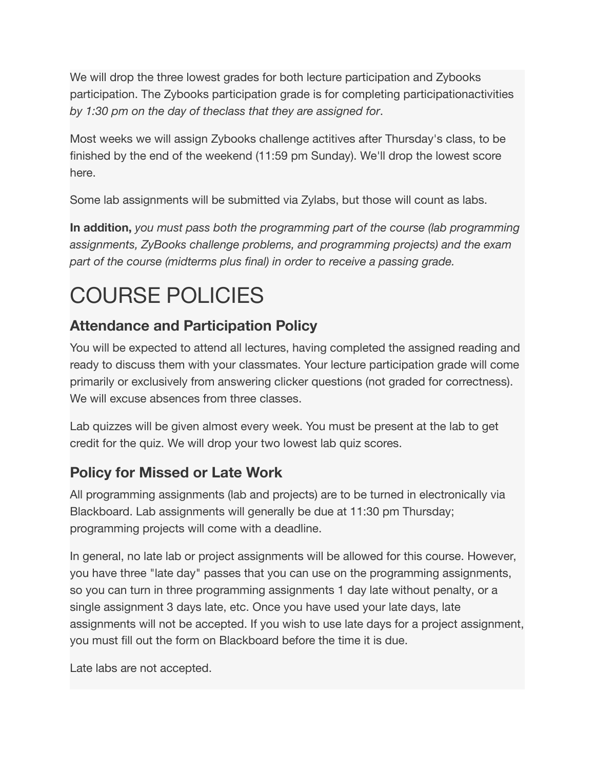We will drop the three lowest grades for both lecture participation and Zybooks participation. The Zybooks participation grade is for completing participationactivities *by 1:30 pm on the day of theclass that they are assigned for*.

Most weeks we will assign Zybooks challenge actitives after Thursday's class, to be finished by the end of the weekend (11:59 pm Sunday). We'll drop the lowest score here.

Some lab assignments will be submitted via Zylabs, but those will count as labs.

**In addition,** *you must pass both the programming part of the course (lab programming assignments, ZyBooks challenge problems, and programming projects) and the exam part of the course (midterms plus final) in order to receive a passing grade.*

# COURSE POLICIES

### **Attendance and Participation Policy**

You will be expected to attend all lectures, having completed the assigned reading and ready to discuss them with your classmates. Your lecture participation grade will come primarily or exclusively from answering clicker questions (not graded for correctness). We will excuse absences from three classes.

Lab quizzes will be given almost every week. You must be present at the lab to get credit for the quiz. We will drop your two lowest lab quiz scores.

### **Policy for Missed or Late Work**

All programming assignments (lab and projects) are to be turned in electronically via Blackboard. Lab assignments will generally be due at 11:30 pm Thursday; programming projects will come with a deadline.

In general, no late lab or project assignments will be allowed for this course. However, you have three "late day" passes that you can use on the programming assignments, so you can turn in three programming assignments 1 day late without penalty, or a single assignment 3 days late, etc. Once you have used your late days, late assignments will not be accepted. If you wish to use late days for a project assignment, you must fill out the form on Blackboard before the time it is due.

Late labs are not accepted.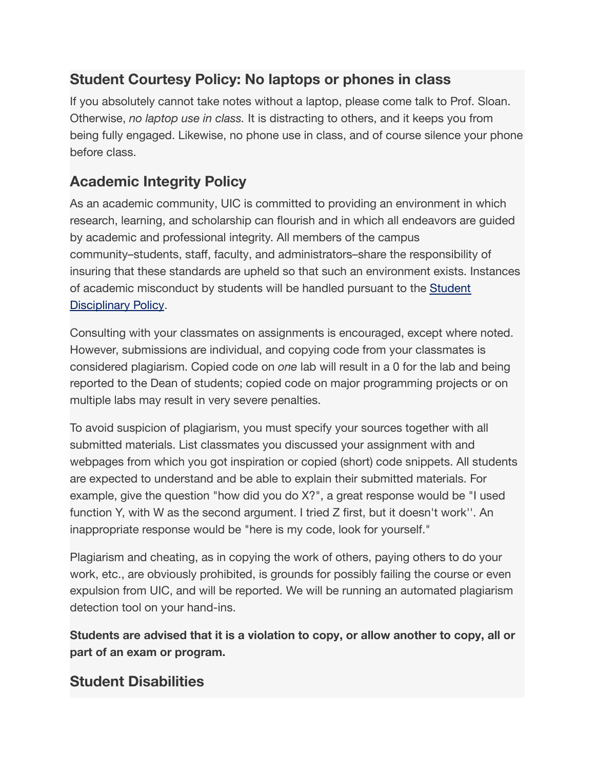#### **Student Courtesy Policy: No laptops or phones in class**

If you absolutely cannot take notes without a laptop, please come talk to Prof. Sloan. Otherwise, *no laptop use in class.* It is distracting to others, and it keeps you from being fully engaged. Likewise, no phone use in class, and of course silence your phone before class.

### **Academic Integrity Policy**

As an academic community, UIC is committed to providing an environment in which research, learning, and scholarship can flourish and in which all endeavors are guided by academic and professional integrity. All members of the campus community–students, staff, faculty, and administrators–share the responsibility of insuring that these standards are upheld so that such an environment exists. Instances of academic misconduct by students will be handled pursuant to the [Student](http://dos.uic.edu/conductforstudents.shtml) [Disciplinary Policy](http://dos.uic.edu/conductforstudents.shtml).

Consulting with your classmates on assignments is encouraged, except where noted. However, submissions are individual, and copying code from your classmates is considered plagiarism. Copied code on *one* lab will result in a 0 for the lab and being reported to the Dean of students; copied code on major programming projects or on multiple labs may result in very severe penalties.

To avoid suspicion of plagiarism, you must specify your sources together with all submitted materials. List classmates you discussed your assignment with and webpages from which you got inspiration or copied (short) code snippets. All students are expected to understand and be able to explain their submitted materials. For example, give the question "how did you do X?", a great response would be "I used function Y, with W as the second argument. I tried Z first, but it doesn't work''. An inappropriate response would be "here is my code, look for yourself."

Plagiarism and cheating, as in copying the work of others, paying others to do your work, etc., are obviously prohibited, is grounds for possibly failing the course or even expulsion from UIC, and will be reported. We will be running an automated plagiarism detection tool on your hand-ins.

**Students are advised that it is a violation to copy, or allow another to copy, all or part of an exam or program.**

#### **Student Disabilities**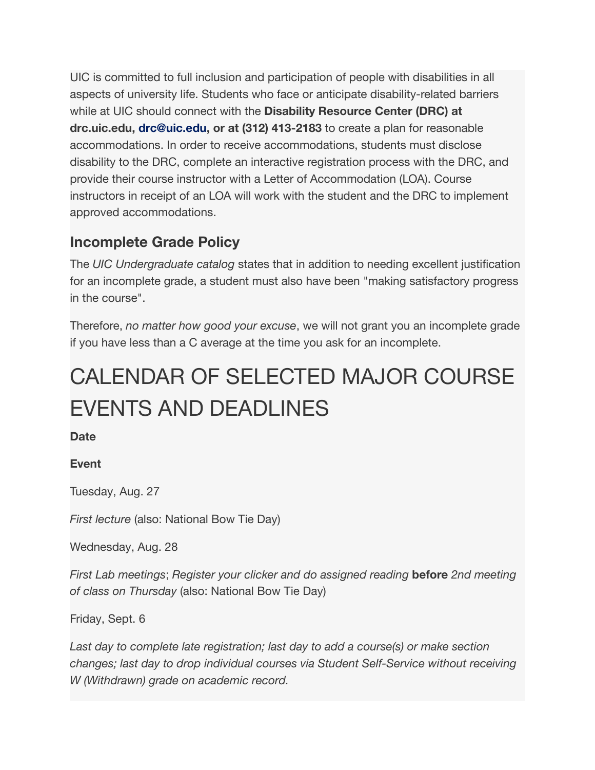UIC is committed to full inclusion and participation of people with disabilities in all aspects of university life. Students who face or anticipate disability-related barriers while at UIC should connect with the **Disability Resource Center (DRC) at drc.uic.edu, drc@uic.edu, or at (312) 413-2183** to create a plan for reasonable accommodations. In order to receive accommodations, students must disclose disability to the DRC, complete an interactive registration process with the DRC, and provide their course instructor with a Letter of Accommodation (LOA). Course instructors in receipt of an LOA will work with the student and the DRC to implement approved accommodations.

#### **Incomplete Grade Policy**

The *UIC Undergraduate catalog* states that in addition to needing excellent justification for an incomplete grade, a student must also have been "making satisfactory progress in the course".

Therefore, *no matter how good your excuse*, we will not grant you an incomplete grade if you have less than a C average at the time you ask for an incomplete.

# CALENDAR OF SELECTED MAJOR COURSE EVENTS AND DEADLINES

**Date**

#### **Event**

Tuesday, Aug. 27

*First lecture* (also: National Bow Tie Day)

Wednesday, Aug. 28

*First Lab meetings*; *Register your clicker and do assigned reading* **before** *2nd meeting of class on Thursday* (also: National Bow Tie Day)

Friday, Sept. 6

*Last day to complete late registration; last day to add a course(s) or make section changes; last day to drop individual courses via Student Self-Service without receiving W (Withdrawn) grade on academic record.*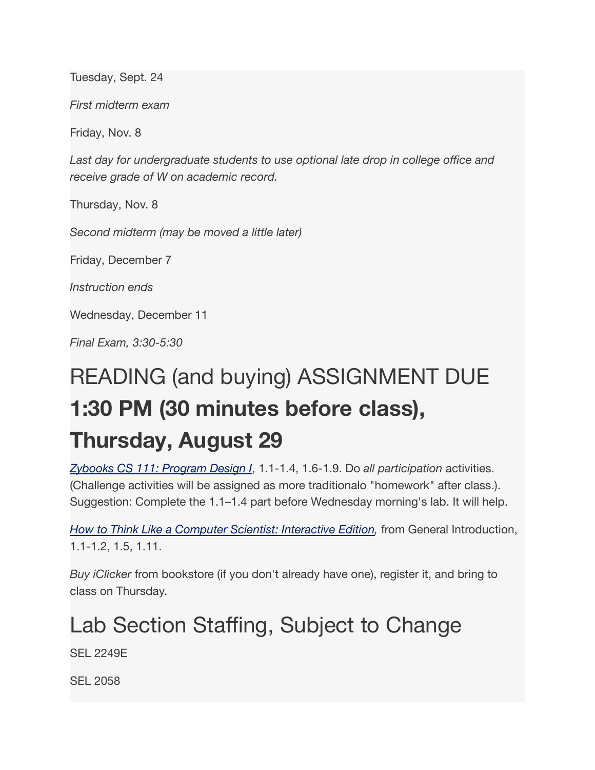Tuesday, Sept. 24

*First midterm exam*

Friday, Nov. 8

*Last day for undergraduate students to use optional late drop in college office and receive grade of W on academic record.*

Thursday, Nov. 8

*Second midterm (may be moved a little later)*

Friday, December 7

*Instruction ends*

Wednesday, December 11

*Final Exam, 3:30-5:30*

# READING (and buying) ASSIGNMENT DUE **1:30 PM (30 minutes before class), Thursday, August 29**

*[Zybooks CS 111: Program Design I](https://learn.zybooks.com/)*, 1.1-1.4, 1.6-1.9. Do *all participation* activities. (Challenge activities will be assigned as more traditionalo "homework" after class.). Suggestion: Complete the 1.1–1.4 part before Wednesday morning's lab. It will help.

*[How to Think Like a Computer Scientist: Interactive Edition,](http://interactivepython.org/runestone/static/thinkcspy/index.html)* from General Introduction, 1.1-1.2, 1.5, 1.11.

*Buy iClicker* from bookstore (if you don't already have one), register it, and bring to class on Thursday.

# Lab Section Staffing, Subject to Change

SEL 2249E

SEL 2058